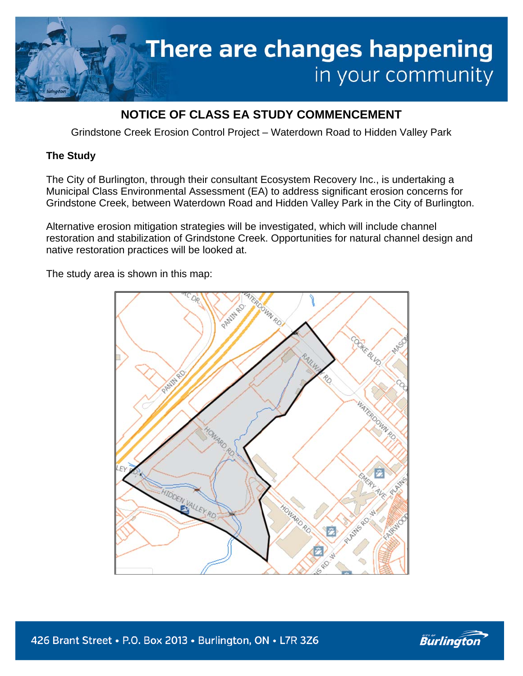

## **NOTICE OF CLASS EA STUDY COMMENCEMENT**

Grindstone Creek Erosion Control Project – Waterdown Road to Hidden Valley Park

## **The Study**

The City of Burlington, through their consultant Ecosystem Recovery Inc., is undertaking a Municipal Class Environmental Assessment (EA) to address significant erosion concerns for Grindstone Creek, between Waterdown Road and Hidden Valley Park in the City of Burlington.

Alternative erosion mitigation strategies will be investigated, which will include channel restoration and stabilization of Grindstone Creek. Opportunities for natural channel design and native restoration practices will be looked at.

The study area is shown in this map: